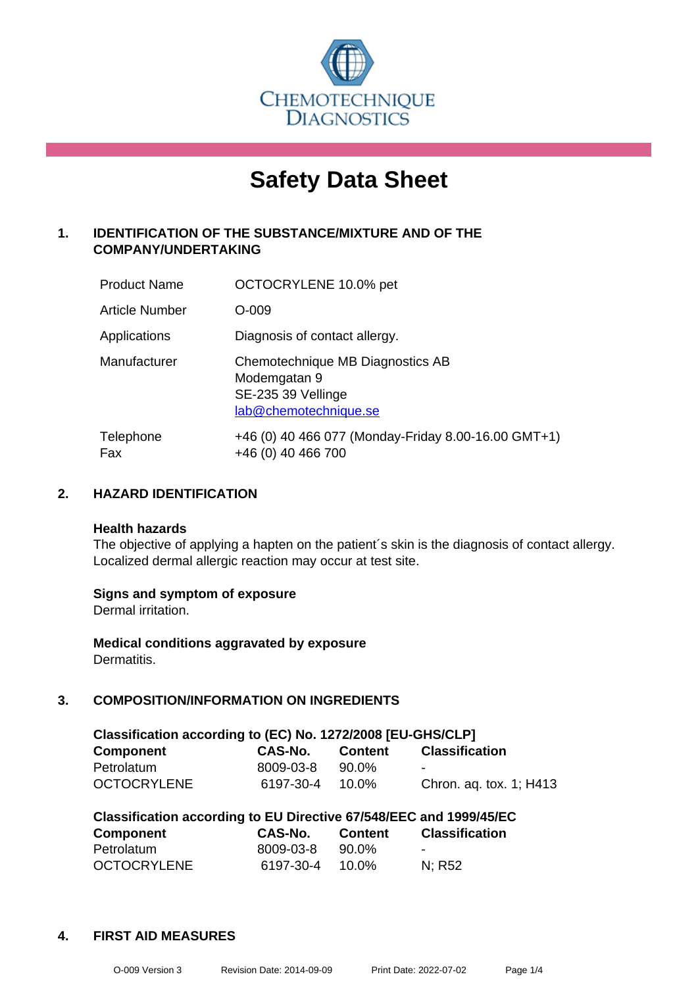

# **Safety Data Sheet**

### **1. IDENTIFICATION OF THE SUBSTANCE/MIXTURE AND OF THE COMPANY/UNDERTAKING**

| <b>Product Name</b> | OCTOCRYLENE 10.0% pet                                                                           |
|---------------------|-------------------------------------------------------------------------------------------------|
| Article Number      | $O-009$                                                                                         |
| Applications        | Diagnosis of contact allergy.                                                                   |
| Manufacturer        | Chemotechnique MB Diagnostics AB<br>Modemgatan 9<br>SE-235 39 Vellinge<br>lab@chemotechnique.se |
| Telephone<br>Fax    | +46 (0) 40 466 077 (Monday-Friday 8.00-16.00 GMT+1)<br>+46 (0) 40 466 700                       |

### **2. HAZARD IDENTIFICATION**

#### **Health hazards**

The objective of applying a hapten on the patient's skin is the diagnosis of contact allergy. Localized dermal allergic reaction may occur at test site.

### **Signs and symptom of exposure**

Dermal irritation.

**Medical conditions aggravated by exposure** Dermatitis.

### **3. COMPOSITION/INFORMATION ON INGREDIENTS**

| Classification according to (EC) No. 1272/2008 [EU-GHS/CLP] |                       |         |                         |  |  |  |
|-------------------------------------------------------------|-----------------------|---------|-------------------------|--|--|--|
| <b>Component</b>                                            | CAS-No.               | Content | <b>Classification</b>   |  |  |  |
| Petrolatum                                                  | 8009-03-8             | 90.0%   | -                       |  |  |  |
| <b>OCTOCRYLENE</b>                                          | $6197 - 30 - 4$ 10.0% |         | Chron. ag. tox. 1; H413 |  |  |  |

| Classification according to EU Directive 67/548/EEC and 1999/45/EC |           |                |                       |  |  |
|--------------------------------------------------------------------|-----------|----------------|-----------------------|--|--|
| Component                                                          | CAS-No.   | <b>Content</b> | <b>Classification</b> |  |  |
| Petrolatum                                                         | 8009-03-8 | 90.0%          | -                     |  |  |
| <b>OCTOCRYLENE</b>                                                 | 6197-30-4 | 10.0%          | N: R52                |  |  |

#### **4. FIRST AID MEASURES**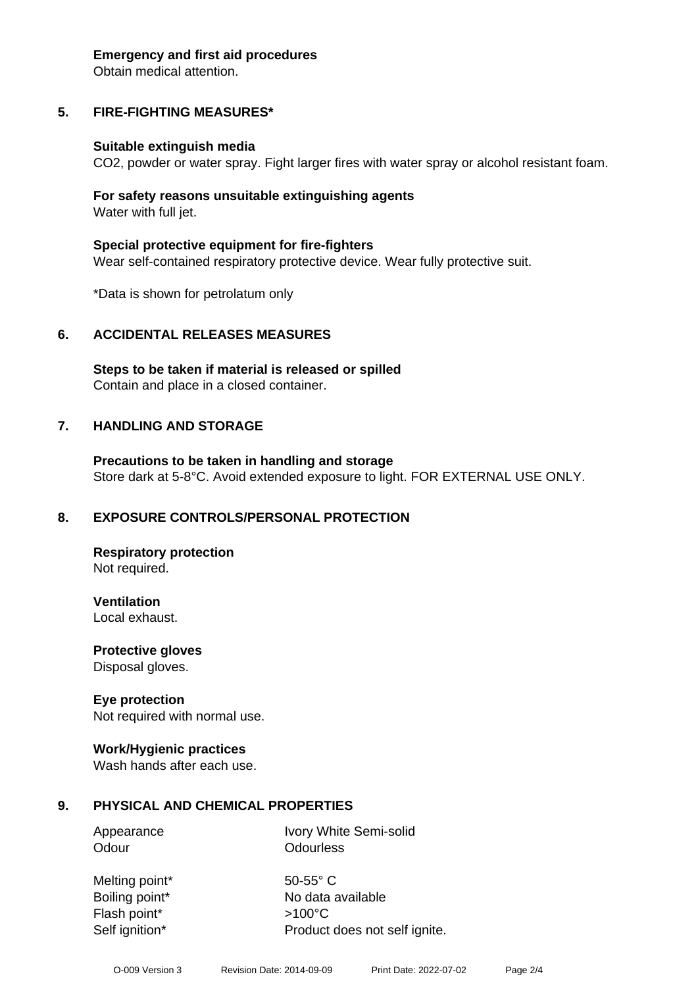#### **Emergency and first aid procedures**

Obtain medical attention.

## **5. FIRE-FIGHTING MEASURES\***

### **Suitable extinguish media**

CO2, powder or water spray. Fight larger fires with water spray or alcohol resistant foam.

### **For safety reasons unsuitable extinguishing agents** Water with full jet.

**Special protective equipment for fire-fighters** Wear self-contained respiratory protective device. Wear fully protective suit.

\*Data is shown for petrolatum only

## **6. ACCIDENTAL RELEASES MEASURES**

**Steps to be taken if material is released or spilled** Contain and place in a closed container.

## **7. HANDLING AND STORAGE**

**Precautions to be taken in handling and storage** Store dark at 5-8°C. Avoid extended exposure to light. FOR EXTERNAL USE ONLY.

# **8. EXPOSURE CONTROLS/PERSONAL PROTECTION**

**Respiratory protection** Not required.

**Ventilation** Local exhaust.

**Protective gloves** Disposal gloves.

# **Eye protection**

Not required with normal use.

### **Work/Hygienic practices**

Wash hands after each use.

# **9. PHYSICAL AND CHEMICAL PROPERTIES**

Appearance Ivory White Semi-solid Odour **Odourless** 

Melting point\* 50-55° C Boiling point\* No data available Flash point\* >100°C Self ignition\* Product does not self ignite.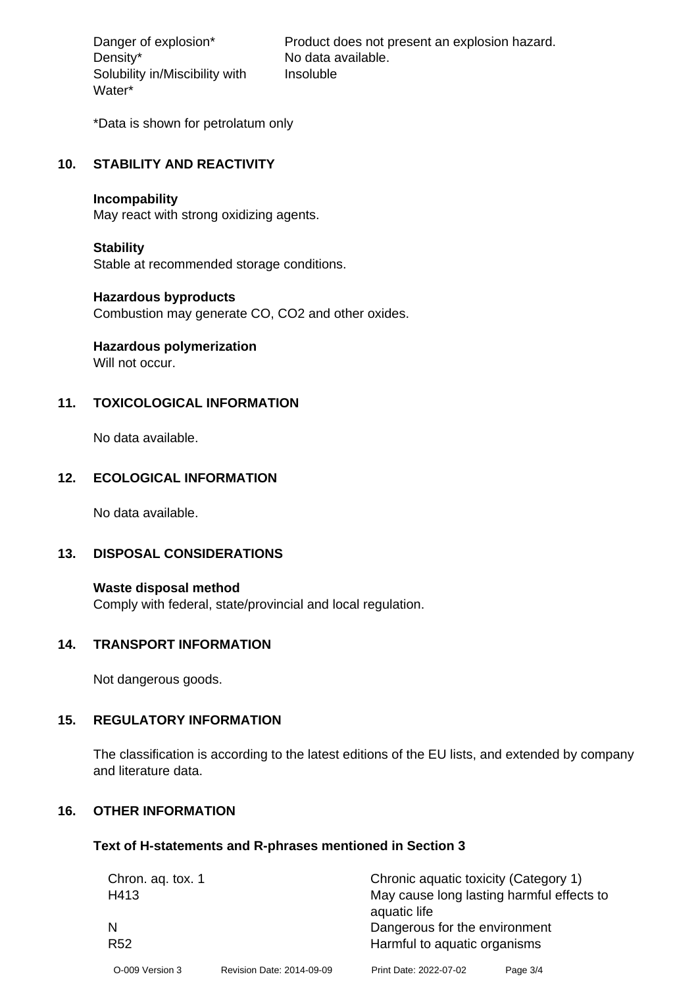Density\* No data available. Solubility in/Miscibility with Water\*

Danger of explosion\* Product does not present an explosion hazard. Insoluble

\*Data is shown for petrolatum only

### **10. STABILITY AND REACTIVITY**

#### **Incompability**

May react with strong oxidizing agents.

#### **Stability**

Stable at recommended storage conditions.

#### **Hazardous byproducts**

Combustion may generate CO, CO2 and other oxides.

### **Hazardous polymerization**

Will not occur.

### **11. TOXICOLOGICAL INFORMATION**

No data available.

### **12. ECOLOGICAL INFORMATION**

No data available.

### **13. DISPOSAL CONSIDERATIONS**

**Waste disposal method** Comply with federal, state/provincial and local regulation.

#### **14. TRANSPORT INFORMATION**

Not dangerous goods.

### **15. REGULATORY INFORMATION**

The classification is according to the latest editions of the EU lists, and extended by company and literature data.

### **16. OTHER INFORMATION**

#### **Text of H-statements and R-phrases mentioned in Section 3**

| Chron. aq. tox. 1 |                           | Chronic aquatic toxicity (Category 1)     |          |  |
|-------------------|---------------------------|-------------------------------------------|----------|--|
| H413              |                           | May cause long lasting harmful effects to |          |  |
|                   |                           | aquatic life                              |          |  |
| N                 |                           | Dangerous for the environment             |          |  |
| R <sub>52</sub>   |                           | Harmful to aquatic organisms              |          |  |
| O-009 Version 3   | Revision Date: 2014-09-09 | Print Date: 2022-07-02                    | Page 3/4 |  |